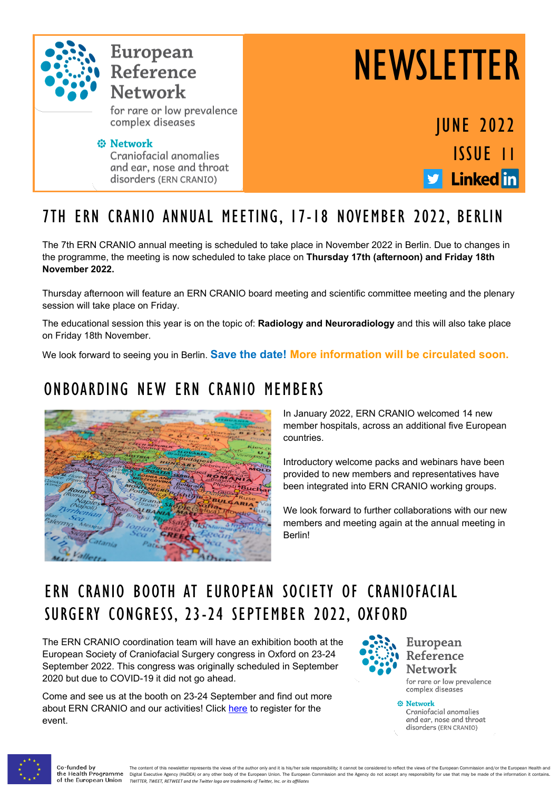

European Reference **Network** 

# **NEWSLETTER**

for rare or low prevalence complex diseases

#### **O** Network

Craniofacial anomalies and ear, nose and throat disorders (ERN CRANIO)

## JUNE 2022ISSUE 11 **y** Linked in

## 7TH ERN CRANIO ANNUAL MEETING, 17-18 NOVEMBER 2022, BERLIN

The 7th ERN CRANIO annual meeting is scheduled to take place in November 2022 in Berlin. Due to changes in the programme, the meeting is now scheduled to take place on **Thursday 17th (afternoon) and Friday 18th November 2022.** 

Thursday afternoon will feature an ERN CRANIO board meeting and scientific committee meeting and the plenary session will take place on Friday.

The educational session this year is on the topic of: **Radiology and Neuroradiology** and this will also take place on Friday 18th November.

We look forward to seeing you in Berlin. **Save the date! More information will be circulated soon.** 

## ONBOARDING NEW ERN CRANIO MEMBERS



In January 2022, ERN CRANIO welcomed 14 new member hospitals, across an additional five European countries.

Introductory welcome packs and webinars have been provided to new members and representatives have been integrated into ERN CRANIO working groups.

We look forward to further collaborations with our new members and meeting again at the annual meeting in Berlin!

## ERN CRANIO BOOTH AT EUROPEAN SOCIETY OF CRANIOFACIAL SURGERY CONGRESS, 23-24 SEPTEMBER 2022, OXFORD

The ERN CRANIO coordination team will have an exhibition booth at the European Society of Craniofacial Surgery congress in Oxford on 23-24 September 2022. This congress was originally scheduled in September 2020 but due to COVID-19 it did not go ahead.

Come and see us at the booth on 23-24 September and find out more about ERN CRANIO and our activities! Click [here](https://escfs2022.com/registration-information/) to register for the event.



European Reference **Network** 

for rare or low prevalence complex diseases

**O** Network Craniofacial anomalies and ear, nose and throat disorders (ERN CRANIO)